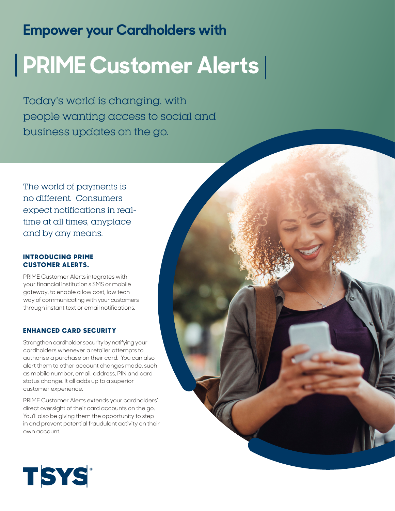# **Empower your Cardholders with**

# **PRIME Customer Alerts**

Today's world is changing, with people wanting access to social and business updates on the go.

The world of payments is no different. Consumers expect notifications in realtime at all times, anyplace and by any means.

# **INTRODUCING PRIME CUSTOMER ALERTS.**

PRIME Customer Alerts integrates with your financial institution's SMS or mobile gateway, to enable a low cost, low tech way of communicating with your customers through instant text or email notifications.

# **ENHANCED CARD SECURITY**

Strengthen cardholder security by notifying your cardholders whenever a retailer attempts to authorise a purchase on their card. You can also alert them to other account changes made, such as mobile number, email, address, PIN and card status change. It all adds up to a superior customer experience.

PRIME Customer Alerts extends your cardholders' direct oversight of their card accounts on the go. You'll also be giving them the opportunity to step in and prevent potential fraudulent activity on their own account.